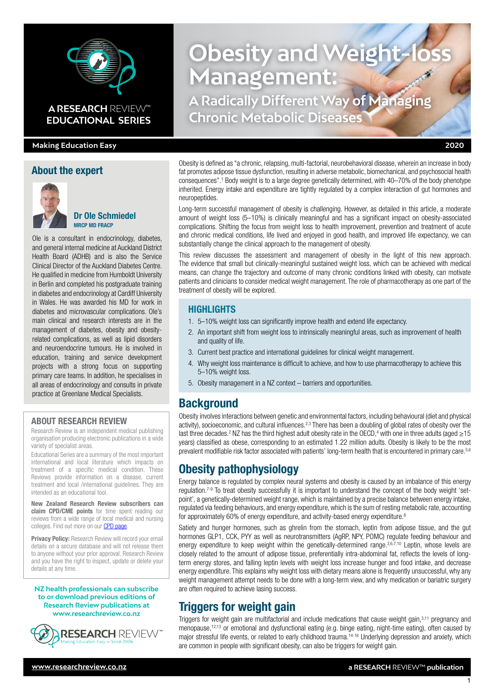

## **A RESEARCH** REVIEW™ **EDUCATIONAL SERIES**

#### **Making Education Easy 2020**

#### About the expert



#### Dr Ole Schmiedel MRCP MD FRACP

Ole is a consultant in endocrinology, diabetes, and general internal medicine at Auckland District Health Board (ADHB) and is also the Service Clinical Director of the Auckland Diabetes Centre. He qualified in medicine from Humboldt University in Berlin and completed his postgraduate training in diabetes and endocrinology at Cardiff University in Wales. He was awarded his MD for work in diabetes and microvascular complications. Ole's main clinical and research interests are in the management of diabetes, obesity and obesityrelated complications, as well as lipid disorders and neuroendocrine tumours. He is involved in education, training and service development projects with a strong focus on supporting primary care teams. In addition, he specialises in all areas of endocrinology and consults in private practice at Greenlane Medical Specialists.

#### ABOUT RESEARCH REVIEW

Research Review is an independent medical publishing organisation producing electronic publications in a wide variety of specialist areas.

Educational Series are a summary of the most important international and local literature which impacts on treatment of a specific medical condition. These Reviews provide information on a disease, current treatment and local /international guidelines. They are intended as an educational tool.

New Zealand Research Review subscribers can claim CPD/CME points for time spent reading our reviews from a wide range of local medical and nursing colleges. Find out more on our **CPD page**.

Privacy Policy: Research Review will record your email details on a secure database and will not release them to anyone without your prior approval. Research Review and you have the right to inspect, update or delete your details at any time.

**NZ health professionals can subscribe to or download previous editions of Research Review publications at www.researchreview.co.nz**



# **Obesity and Weight Management: A Radically Different Way of Managing Chronic Metabolic Diseases**

Obesity is defined as "a chronic, relapsing, multi-factorial, neurobehavioral disease, wherein an increase in body fat promotes adipose tissue dysfunction, resulting in adverse metabolic, biomechanical, and psychosocial health consequences".1 Body weight is to a large degree genetically determined, with 40–70% of the body phenotype inherited. Energy intake and expenditure are tightly regulated by a complex interaction of gut hormones and neuropeptides.

Long-term successful management of obesity is challenging. However, as detailed in this article, a moderate amount of weight loss (5–10%) is clinically meaningful and has a significant impact on obesity-associated complications. Shifting the focus from weight loss to health improvement, prevention and treatment of acute and chronic medical conditions, life lived and enjoyed in good health, and improved life expectancy, we can substantially change the clinical approach to the management of obesity.

This review discusses the assessment and management of obesity in the light of this new approach. The evidence that small but clinically-meaningful sustained weight loss, which can be achieved with medical means, can change the trajectory and outcome of many chronic conditions linked with obesity, can motivate patients and clinicians to consider medical weight management. The role of pharmacotherapy as one part of the treatment of obesity will be explored.

#### HIGHLIGHTS

- 1. 5–10% weight loss can significantly improve health and extend life expectancy.
- 2. An important shift from weight loss to intrinsically meaningful areas, such as improvement of health and quality of life.
- 3. Current best practice and international guidelines for clinical weight management.
- 4. Why weight loss maintenance is difficult to achieve, and how to use pharmacotherapy to achieve this 5–10% weight loss.
- 5. Obesity management in a NZ context barriers and opportunities.

# **Background**

Obesity involves interactions between genetic and environmental factors, including behavioural (diet and physical activity), socioeconomic, and cultural influences.<sup>2,3</sup> There has been a doubling of global rates of obesity over the last three decades.<sup>2</sup> NZ has the third highest adult obesity rate in the OECD,<sup>4</sup> with one in three adults (aged  $\geq 15$ years) classified as obese, corresponding to an estimated 1.22 million adults. Obesity is likely to be the most prevalent modifiable risk factor associated with patients' long-term health that is encountered in primary care.<sup>5,6</sup>

# Obesity pathophysiology

Energy balance is regulated by complex neural systems and obesity is caused by an imbalance of this energy regulation.7-9 To treat obesity successfully it is important to understand the concept of the body weight 'setpoint', a genetically-determined weight range, which is maintained by a precise balance between energy intake, regulated via feeding behaviours, and energy expenditure, which is the sum of resting metabolic rate, accounting for approximately 60% of energy expenditure, and activity-based energy expenditure.<sup>8</sup>

Satiety and hunger hormones, such as ghrelin from the stomach, leptin from adipose tissue, and the gut hormones GLP1, CCK, PYY as well as neurotransmitters (AgRP, NPY, POMC) regulate feeding behaviour and energy expenditure to keep weight within the genetically-determined range.<sup>2,6,7,10</sup> Leptin, whose levels are closely related to the amount of adipose tissue, preferentially intra-abdominal fat, reflects the levels of longterm energy stores, and falling leptin levels with weight loss increase hunger and food intake, and decrease energy expenditure. This explains why weight loss with dietary means alone is frequently unsuccessful, why any weight management attempt needs to be done with a long-term view, and why medication or bariatric surgery are often required to achieve lasing success.

# Triggers for weight gain

Triggers for weight gain are multifactorial and include medications that cause weight gain,3,11 pregnancy and menopause,12,13 or emotional and dysfunctional eating (e.g. binge eating, night-time eating), often caused by major stressful life events, or related to early childhood trauma.14-16 Underlying depression and anxiety, which are common in people with significant obesity, can also be triggers for weight gain.

1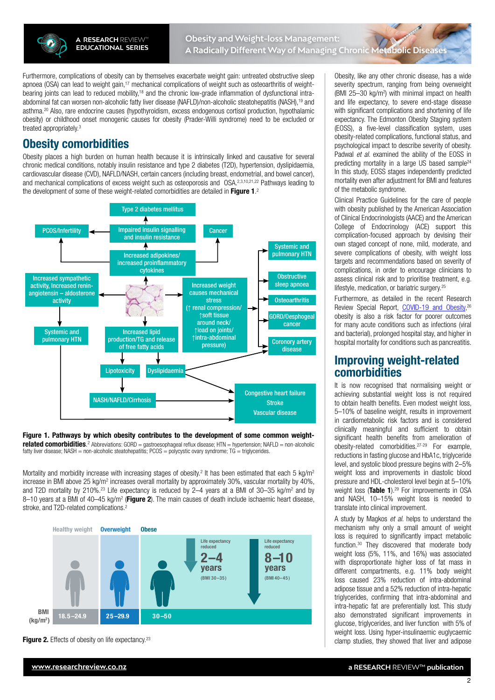

Furthermore, complications of obesity can by themselves exacerbate weight gain: untreated obstructive sleep apnoea (OSA) can lead to weight gain,<sup>17</sup> mechanical complications of weight such as osteoarthritis of weightbearing joints can lead to reduced mobility,18 and the chronic low-grade inflammation of dysfunctional intraabdominal fat can worsen non-alcoholic fatty liver disease (NAFLD)/non-alcoholic steatohepatitis (NASH),19 and asthma.20 Also, rare endocrine causes (hypothyroidism, excess endogenous cortisol production, hypothalamic obesity) or childhood onset monogenic causes for obesity (Prader-Willi syndrome) need to be excluded or treated appropriately.3

# Obesity comorbidities

Obesity places a high burden on human health because it is intrinsically linked and causative for several chronic medical conditions, notably insulin resistance and type 2 diabetes (T2D), hypertension, dyslipidaemia, cardiovascular disease (CVD), NAFLD/NASH, certain cancers (including breast, endometrial, and bowel cancer), and mechanical complications of excess weight such as osteoporosis and OSA.<sup>2,3,10,21,22</sup> Pathways leading to the development of some of these weight-related comorbidities are detailed in Figure 1.<sup>2</sup>



#### Figure 1. Pathways by which obesity contributes to the development of some common weightrelated comorbidities. <sup>2</sup> Abbreviations: GORD = gastroesophageal reflux disease; HTN = hypertension; NAFLD = non-alcoholic fatty liver disease; NASH = non-alcoholic steatohepatitis; PCOS = polycystic ovary syndrome; TG = triglycerides.

Mortality and morbidity increase with increasing stages of obesity.<sup>2</sup> It has been estimated that each 5 kg/m<sup>2</sup> increase in BMI above 25 kg/m<sup>2</sup> increases overall mortality by approximately 30%, vascular mortality by 40%, and T2D mortality by 210%.<sup>23</sup> Life expectancy is reduced by 2–4 years at a BMI of 30–35 kg/m<sup>2</sup> and by 8–10 years at a BMI of 40–45 kg/m<sup>2</sup> (Figure 2). The main causes of death include ischaemic heart disease, stroke, and T2D-related complications.2



**Figure 2.** Effects of obesity on life expectancy.<sup>23</sup>

Obesity, like any other chronic disease, has a wide severity spectrum, ranging from being overweight (BMI 25-30 kg/m<sup>2</sup>) with minimal impact on health and life expectancy, to severe end-stage disease with significant complications and shortening of life expectancy. The Edmonton Obesity Staging system (EOSS), a five-level classification system, uses obesity-related complications, functional status, and psychological impact to describe severity of obesity. Padwal *et al*. examined the ability of the EOSS in predicting mortality in a large US based sample<sup>24</sup> In this study, EOSS stages independently predicted mortality even after adjustment for BMI and features of the metabolic syndrome.

Clinical Practice Guidelines for the care of people with obesity published by the American Association of Clinical Endocrinologists (AACE) and the American College of Endocrinology (ACE) support this complication-focused approach by devising their own staged concept of none, mild, moderate, and severe complications of obesity, with weight loss targets and recommendations based on severity of complications, in order to encourage clinicians to assess clinical risk and to prioritise treatment, e.g. lifestyle, medication, or bariatric surgery.25

Furthermore, as detailed in the recent Research Review Special Report, [COVID-19 and Obesity,](https://www.researchreview.co.nz/nz/Clinical-Area/Internal-Medicine/Diabetes-Obesity/COVID-19-and-Obesity-Special-Report.aspx)<sup>26</sup> obesity is also a risk factor for poorer outcomes for many acute conditions such as infections (viral and bacterial), prolonged hospital stay, and higher in hospital mortality for conditions such as pancreatitis.

# Improving weight-related comorbidities

It is now recognised that normalising weight or achieving substantial weight loss is not required to obtain health benefits. Even modest weight loss, 5–10% of baseline weight, results in improvement in cardiometabolic risk factors and is considered clinically meaningful and sufficient to obtain significant health benefits from amelioration of obesity-related comorbidities.27-29 For example, reductions in fasting glucose and HbA1c, triglyceride level, and systolic blood pressure begins with 2–5% weight loss and improvements in diastolic blood pressure and HDL-cholesterol level begin at 5–10% weight loss (Table 1).<sup>29</sup> For improvements in OSA and NASH, 10–15% weight loss is needed to translate into clinical improvement.

A study by Magkos *et al*. helps to understand the mechanism why only a small amount of weight loss is required to significantly impact metabolic function.30 They discovered that moderate body weight loss (5%, 11%, and 16%) was associated with disproportionate higher loss of fat mass in different compartments, e.g. 11% body weight loss caused 23% reduction of intra-abdominal adipose tissue and a 52% reduction of intra-hepatic triglycerides, confirming that intra-abdominal and intra-hepatic fat are preferentially lost. This study also demonstrated significant improvements in glucose, triglycerides, and liver function with 5% of weight loss. Using hyper-insulinaemic euglycaemic clamp studies, they showed that liver and adipose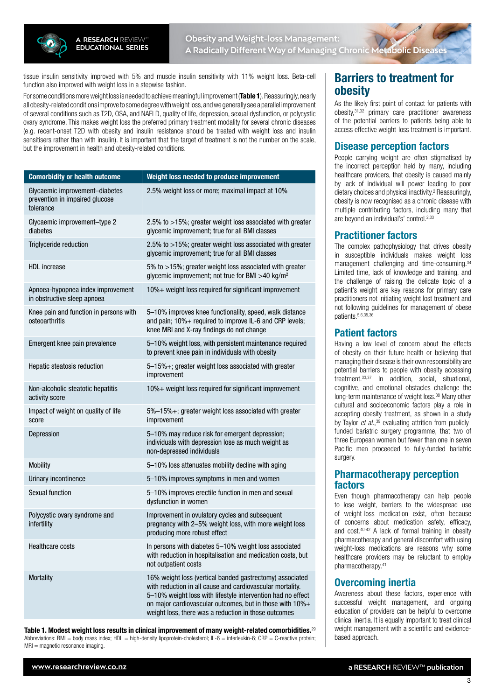

tissue insulin sensitivity improved with 5% and muscle insulin sensitivity with 11% weight loss. Beta-cell function also improved with weight loss in a stepwise fashion.

For some conditions more weight loss is needed to achieve meaningful improvement (Table 1). Reassuringly, nearly all obesity-related conditions improve to some degree with weight loss, and we generally see a parallel improvement of several conditions such as T2D, OSA, and NAFLD, quality of life, depression, sexual dysfunction, or polycystic ovary syndrome. This makes weight loss the preferred primary treatment modality for several chronic diseases (e.g. recent-onset T2D with obesity and insulin resistance should be treated with weight loss and insulin sensitisers rather than with insulin). It is important that the target of treatment is not the number on the scale, but the improvement in health and obesity-related conditions.

| <b>Comorbidity or health outcome</b>                                          | Weight loss needed to produce improvement                                                                                                                                                                                                                                                                |  |
|-------------------------------------------------------------------------------|----------------------------------------------------------------------------------------------------------------------------------------------------------------------------------------------------------------------------------------------------------------------------------------------------------|--|
| Glycaemic improvement-diabetes<br>prevention in impaired glucose<br>tolerance | 2.5% weight loss or more; maximal impact at 10%                                                                                                                                                                                                                                                          |  |
| Glycaemic improvement-type 2<br>diabetes                                      | 2.5% to >15%; greater weight loss associated with greater<br>glycemic improvement; true for all BMI classes                                                                                                                                                                                              |  |
| Triglyceride reduction                                                        | 2.5% to >15%; greater weight loss associated with greater<br>glycemic improvement; true for all BMI classes                                                                                                                                                                                              |  |
| <b>HDL</b> increase                                                           | 5% to >15%; greater weight loss associated with greater<br>glycemic improvement; not true for BMI >40 kg/m <sup>2</sup>                                                                                                                                                                                  |  |
| Apnoea-hypopnea index improvement<br>in obstructive sleep apnoea              | 10%+ weight loss required for significant improvement                                                                                                                                                                                                                                                    |  |
| Knee pain and function in persons with<br>osteoarthritis                      | 5-10% improves knee functionality, speed, walk distance<br>and pain; 10%+ required to improve IL-6 and CRP levels;<br>knee MRI and X-ray findings do not change                                                                                                                                          |  |
| Emergent knee pain prevalence                                                 | 5-10% weight loss, with persistent maintenance required<br>to prevent knee pain in individuals with obesity                                                                                                                                                                                              |  |
| Hepatic steatosis reduction                                                   | 5-15%+; greater weight loss associated with greater<br>improvement                                                                                                                                                                                                                                       |  |
| Non-alcoholic steatotic hepatitis<br>activity score                           | 10%+ weight loss required for significant improvement                                                                                                                                                                                                                                                    |  |
| Impact of weight on quality of life<br>score                                  | 5%-15%+; greater weight loss associated with greater<br>improvement                                                                                                                                                                                                                                      |  |
| Depression                                                                    | 5-10% may reduce risk for emergent depression;<br>individuals with depression lose as much weight as<br>non-depressed individuals                                                                                                                                                                        |  |
| <b>Mobility</b>                                                               | 5-10% loss attenuates mobility decline with aging                                                                                                                                                                                                                                                        |  |
| Urinary incontinence                                                          | 5-10% improves symptoms in men and women                                                                                                                                                                                                                                                                 |  |
| <b>Sexual function</b>                                                        | 5-10% improves erectile function in men and sexual<br>dysfunction in women                                                                                                                                                                                                                               |  |
| Polycystic ovary syndrome and<br>infertility                                  | Improvement in ovulatory cycles and subsequent<br>pregnancy with 2-5% weight loss, with more weight loss<br>producing more robust effect                                                                                                                                                                 |  |
| Healthcare costs                                                              | In persons with diabetes 5-10% weight loss associated<br>with reduction in hospitalisation and medication costs, but<br>not outpatient costs                                                                                                                                                             |  |
| <b>Mortality</b>                                                              | 16% weight loss (vertical banded gastrectomy) associated<br>with reduction in all cause and cardiovascular mortality.<br>5-10% weight loss with lifestyle intervention had no effect<br>on major cardiovascular outcomes, but in those with 10%+<br>weight loss, there was a reduction in those outcomes |  |

Table 1. Modest weight loss results in clinical improvement of many weight-related comorbidities.<sup>29</sup> Abbreviations: BMI = body mass index; HDL = high-density lipoprotein-cholesterol; IL-6 = interleukin-6; CRP = C-reactive protein; MRI = magnetic resonance imaging.

# Barriers to treatment for obesity

As the likely first point of contact for patients with obesity,31,32 primary care practitioner awareness of the potential barriers to patients being able to access effective weight-loss treatment is important.

## Disease perception factors

People carrying weight are often stigmatised by the incorrect perception held by many, including healthcare providers, that obesity is caused mainly by lack of individual will power leading to poor dietary choices and physical inactivity.<sup>2</sup> Reassuringly, obesity is now recognised as a chronic disease with multiple contributing factors, including many that are beyond an individual's' control.2,33

## Practitioner factors

The complex pathophysiology that drives obesity in susceptible individuals makes weight loss management challenging and time-consuming.<sup>34</sup> Limited time, lack of knowledge and training, and the challenge of raising the delicate topic of a patient's weight are key reasons for primary care practitioners not initiating weight lost treatment and not following guidelines for management of obese patients.<sup>5,6,35,3</sup>

## Patient factors

Having a low level of concern about the effects of obesity on their future health or believing that managing their disease is their own responsibility are potential barriers to people with obesity accessing treatment.33,37 In addition, social, situational, cognitive, and emotional obstacles challenge the long-term maintenance of weight loss.<sup>38</sup> Many other cultural and socioeconomic factors play a role in accepting obesity treatment, as shown in a study by Taylor *et al*.,39 evaluating attrition from publiclyfunded bariatric surgery programme, that two of three European women but fewer than one in seven Pacific men proceeded to fully-funded bariatric surgery.

## Pharmacotherapy perception factors

Even though pharmacotherapy can help people to lose weight, barriers to the widespread use of weight-loss medication exist, often because of concerns about medication safety, efficacy, and cost.40-42 A lack of formal training in obesity pharmacotherapy and general discomfort with using weight-loss medications are reasons why some healthcare providers may be reluctant to employ pharmacotherapy.41

### Overcoming inertia

Awareness about these factors, experience with successful weight management, and ongoing education of providers can be helpful to overcome clinical inertia. It is equally important to treat clinical weight management with a scientific and evidencebased approach.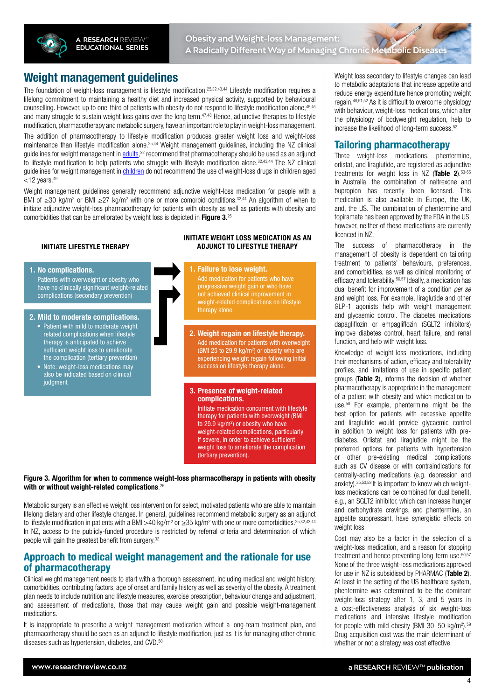

# Weight management guidelines

The foundation of weight-loss management is lifestyle modification.25,32,43,44 Lifestyle modification requires a lifelong commitment to maintaining a healthy diet and increased physical activity, supported by behavioural counselling. However, up to one-third of patients with obesity do not respond to lifestyle modification alone,45,46 and many struggle to sustain weight loss gains over the long term.<sup>47,48</sup> Hence, adjunctive therapies to lifestyle modification, pharmacotherapy and metabolic surgery, have an important role to play in weight-loss management.

The addition of pharmacotherapy to lifestyle modification produces greater weight loss and weight-loss maintenance than lifestyle modification alone.25,44 Weight management guidelines, including the NZ clinical guidelines for weight management in [adults,](https://www.health.govt.nz/system/files/documents/publications/clinical-guidelines-for-weight-management-in-new-zealand-adultsv2.pdf)<sup>32</sup> recommend that pharmacotherapy should be used as an adjunct to lifestyle modification to help patients who struggle with lifestyle modification alone.<sup>32,43,44</sup> The NZ clinical guidelines for weight management in [children](https://www.health.govt.nz/system/files/documents/publications/clinical-guidelines-for-weight-management-in-new-zealand-adultsv2.pdf) do not recommend the use of weight-loss drugs in children aged  $<$ 12 years. $49$ 

Weight management guidelines generally recommend adjunctive weight-loss medication for people with a BMI of ≥30 kg/m<sup>2</sup> or BMI ≥27 kg/m<sup>2</sup> with one or more comorbid conditions.<sup>32,44</sup> An algorithm of when to initiate adjunctive weight-loss pharmacotherapy for patients with obesity as well as patients with obesity and comorbidities that can be ameliorated by weight loss is depicted in Figure 3.<sup>25</sup>

#### **INITIATE LIFESTYLE THERAPY**

#### **1. No complications.** Patients with overweight or obesity who have no clinically significant weight-related complications (secondary prevention)

#### **2. Mild to moderate complications.**

- Patient with mild to moderate weight related complications when lifestyle therapy is anticipated to achieve sufficient weight loss to ameliorate the complication (tertiary prevention)
- Note: weight-loss medications may also be indicated based on clinical **judament**

#### **INITIATE WEIGHT LOSS MEDICATION AS AN ADJUNCT TO LIFESTYLE THERAPY**

**1. Failure to lose weight.** Add medication for patients who have progressive weight gain or who have not achieved clinical improvement in weight-related complications on lifestyle therapy alone.

**2. Weight regain on lifestyle therapy.** Add medication for patients with overweight (BMI 25 to 29.9  $kg/m<sup>2</sup>$ ) or obesity who are experiencing weight regain following initial success on lifestyle therapy alone.

#### **3. Presence of weight-related complications.**

Initiate medication concurrent with lifestyle therapy for patients with overweight (BMI to 29.9 kg/m<sup>2</sup>) or obesity who have weight-related complications, particularly if severe, in order to achieve sufficient weight loss to ameliorate the complication (tertiary prevention).

Figure 3. Algorithm for when to commence weight-loss pharmacotherapy in patients with obesity with or without weight-related complications. $^{25}$ 

Metabolic surgery is an effective weight loss intervention for select, motivated patients who are able to maintain lifelong dietary and other lifestyle changes. In general, guidelines recommend metabolic surgery as an adjunct to lifestyle modification in patients with a BMI >40 kg/m<sup>2</sup> or ≥35 kg/m<sup>2</sup> with one or more comorbidities.<sup>25,32,43,44</sup> In NZ, access to the publicly-funded procedure is restricted by referral criteria and determination of which people will gain the greatest benefit from surgery.<sup>32</sup>

### Approach to medical weight management and the rationale for use of pharmacotherapy

Clinical weight management needs to start with a thorough assessment, including medical and weight history, comorbidities, contributing factors, age of onset and family history as well as severity of the obesity. A treatment plan needs to include nutrition and lifestyle measures, exercise prescription, behaviour change and adjustment, and assessment of medications, those that may cause weight gain and possible weight-management medications.

It is inappropriate to prescribe a weight management medication without a long-team treatment plan, and pharmacotherapy should be seen as an adjunct to lifestyle modification, just as it is for managing other chronic diseases such as hypertension, diabetes, and CVD.<sup>50</sup>

Weight loss secondary to lifestyle changes can lead to metabolic adaptations that increase appetite and reduce energy expenditure hence promoting weight regain.40,51,52 As it is difficult to overcome physiology with behaviour, weight-loss medications, which alter the physiology of bodyweight regulation, help to increase the likelihood of long-term success.<sup>52</sup>

#### Tailoring pharmacotherapy

Three weight-loss medications, phentermine, orlistat, and liraglutide, are registered as adjunctive treatments for weight loss in NZ (Table 2).53-55 In Australia, the combination of naltrexone and bupropion has recently been licensed. This medication is also available in Europe, the UK, and, the US. The combination of phentermine and topiramate has been approved by the FDA in the US; however, neither of these medications are currently licenced in NZ.

The success of pharmacotherapy in the management of obesity is dependent on tailoring treatment to patients' behaviours, preferences, and comorbidities, as well as clinical monitoring of efficacy and tolerability.56,57 Ideally, a medication has dual benefit for improvement of a condition *per se* and weight loss. For example, liraglutide and other GLP-1 agonists help with weight management and glycaemic control. The diabetes medications dapagliflozin or empagliflozin (SGLT2 inhibitors) improve diabetes control, heart failure, and renal function, and help with weight loss.

Knowledge of weight-loss medications, including their mechanisms of action, efficacy and tolerability profiles, and limitations of use in specific patient groups (Table 2), informs the decision of whether pharmacotherapy is appropriate in the management of a patient with obesity and which medication to use.50 For example, phentermine might be the best option for patients with excessive appetite and liraglutide would provide glycaemic control in addition to weight loss for patients with prediabetes. Orlistat and liraglutide might be the preferred options for patients with hypertension or other pre-existing medical complications such as CV disease or with contraindications for centrally-acting medications (e.g. depression and anxiety).25,50,58 It is important to know which weightloss medications can be combined for dual benefit, e.g., an SGLT2 inhibitor, which can increase hunger and carbohydrate cravings, and phentermine, an appetite suppressant, have synergistic effects on weight loss.

Cost may also be a factor in the selection of a weight-loss medication, and a reason for stopping treatment and hence preventing long-term use.50,57 None of the three weight-loss medications approved for use in NZ is subsidised by PHARMAC (Table 2). At least in the setting of the US healthcare system, phentermine was determined to be the dominant weight-loss strategy after 1, 3, and 5 years in a cost-effectiveness analysis of six weight-loss medications and intensive lifestyle modification for people with mild obesity (BMI 30-50 kg/m<sup>2</sup>).<sup>59</sup> Drug acquisition cost was the main determinant of whether or not a strategy was cost effective.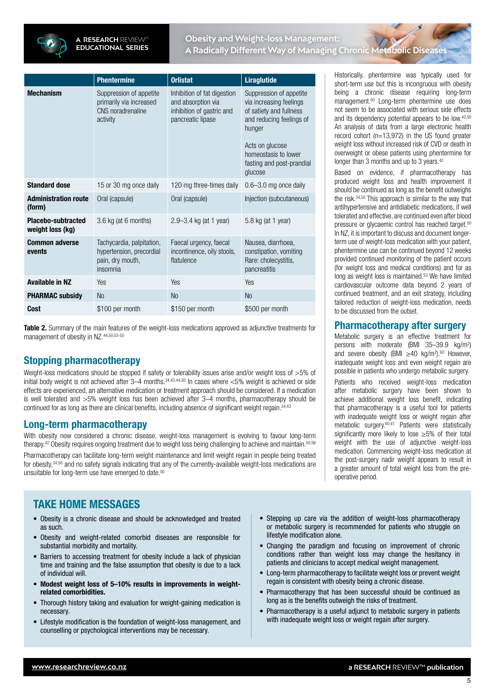

## **Obesity and Weight-loss Management: A Radically Different Way of Managing Chronic Metabolic Diseases**

|                                               | <b>Phentermine</b>                                                                    | <b>Orlistat</b>                                                                                     | <b>Liraglutide</b>                                                                                                                                                                                     |
|-----------------------------------------------|---------------------------------------------------------------------------------------|-----------------------------------------------------------------------------------------------------|--------------------------------------------------------------------------------------------------------------------------------------------------------------------------------------------------------|
| <b>Mechanism</b>                              | Suppression of appetite<br>primarily via increased<br>CNS noradrenaline<br>activity   | Inhibition of fat digestion<br>and absorption via<br>inhibition of gastric and<br>pancreatic lipase | Suppression of appetite<br>via increasing feelings<br>of satiety and fullness<br>and reducing feelings of<br>hunger<br>Acts on glucose<br>homeostasis to lower<br>fasting and post-prandial<br>glucose |
| <b>Standard dose</b>                          | 15 or 30 mg once daily                                                                | 120 mg three-times daily                                                                            | $0.6 - 3.0$ mg once daily                                                                                                                                                                              |
| <b>Administration route</b><br>(form)         | Oral (capsule)                                                                        | Oral (capsule)                                                                                      | Injection (subcutaneous)                                                                                                                                                                               |
| <b>Placebo-subtracted</b><br>weight loss (kg) | 3.6 kg (at 6 months)                                                                  | 2.9–3.4 kg (at 1 year)                                                                              | 5.8 kg (at 1 year)                                                                                                                                                                                     |
| <b>Common adverse</b><br>events               | Tachycardia, palpitation,<br>hypertension, precordial<br>pain, dry mouth,<br>insomnia | Faecal urgency, faecal<br>incontinence, oily stools,<br>flatulence                                  | Nausea, diarrhoea,<br>constipation, vomiting<br>Rare: cholecystitis,<br>pancreatitis                                                                                                                   |
| <b>Available in NZ</b>                        | Yes                                                                                   | Yes                                                                                                 | Yes                                                                                                                                                                                                    |
| <b>PHARMAC subsidy</b>                        | <b>No</b>                                                                             | <b>No</b>                                                                                           | <b>No</b>                                                                                                                                                                                              |
| Cost                                          | \$100 per month                                                                       | \$150 per month                                                                                     | \$500 per month                                                                                                                                                                                        |

**Table 2.** Summary of the main features of the weight-loss medications approved as adjunctive treatments for management of obesity in NZ.44,50,53-55

# Stopping pharmacotherapy

Weight-loss medications should be stopped if safety or tolerability issues arise and/or weight loss of >5% of initial body weight is not achieved after 3–4 months.<sup>34,43,44,50</sup> In cases where  $<5\%$  weight is achieved or side effects are experienced, an alternative medication or treatment approach should be considered. If a medication is well tolerated and >5% weight loss has been achieved after 3–4 months, pharmacotherapy should be continued for as long as there are clinical benefits, including absence of significant weight regain.34,43

## Long-term pharmacotherapy

With obesity now considered a chronic disease, weight-loss management is evolving to favour long-term therapy.<sup>42</sup> Obesity requires ongoing treatment due to weight loss being challenging to achieve and maintain.<sup>50,58</sup>

Pharmacotherapy can facilitate long-term weight maintenance and limit weight regain in people being treated for obesity,34,50 and no safety signals indicating that any of the currently-available weight-loss medications are unsuitable for long-term use have emerged to date.<sup>50</sup>

# TAKE HOME MESSAGES

- Obesity is a chronic disease and should be acknowledged and treated as such.
- Obesity and weight-related comorbid diseases are responsible for substantial morbidity and mortality.
- Barriers to accessing treatment for obesity include a lack of physician time and training and the false assumption that obesity is due to a lack of individual will.
- Modest weight loss of 5–10% results in improvements in weightrelated comorbidities.
- Thorough history taking and evaluation for weight-gaining medication is necessary.
- Lifestyle modification is the foundation of weight-loss management, and counselling or psychological interventions may be necessary.

Historically, phentermine was typically used for short-term use but this is incongruous with obesity being a chronic disease requiring long-term management.50 Long-term phentermine use does not seem to be associated with serious side effects and its dependency potential appears to be low.42,50 An analysis of data from a large electronic health record cohort  $(n=13.972)$  in the US found greater weight loss without increased risk of CVD or death in overweight or obese patients using phentermine for longer than 3 months and up to 3 years.<sup>42</sup>

Based on evidence, if pharmacotherapy has produced weight loss and health improvement it should be continued as long as the benefit outweighs the risk.34,50 This approach is similar to the way that antihypertensive and antidiabetic medications, if well tolerated and effective, are continued even after blood pressure or glycaemic control has reached target.50 In NZ, it is important to discuss and document longerterm use of weight-loss medication with your patient, phentermine use can be continued beyond 12 weeks provided continued monitoring of the patient occurs (for weight loss and medical conditions) and for as long as weight loss is maintained.53 We have limited cardiovascular outcome data beyond 2 years of continued treatment, and an exit strategy, including tailored reduction of weight-loss medication, needs to be discussed from the outset.

## Pharmacotherapy after surgery

Metabolic surgery is an effective treatment for persons with moderate (BMI 35–39.9 kg/m2 ) and severe obesity (BMI  $\geq$ 40 kg/m<sup>2</sup>).<sup>60</sup> However, inadequate weight loss and even weight regain are possible in patients who undergo metabolic surgery.

Patients who received weight-loss medication after metabolic surgery have been shown to achieve additional weight loss benefit, indicating that pharmacotherapy is a useful tool for patients with inadequate weight loss or weight regain after metabolic surgery.60,61 Patients were statistically significantly more likely to lose ≥5% of their total weight with the use of adjunctive weight-loss medication. Commencing weight-loss medication at the post-surgery nadir weight appears to result in a greater amount of total weight loss from the preoperative period.

- Stepping up care via the addition of weight-loss pharmacotherapy or metabolic surgery is recommended for patients who struggle on lifestyle modification alone.
- Changing the paradigm and focusing on improvement of chronic conditions rather than weight loss may change the hesitancy in patients and clinicians to accept medical weight management.
- Long-term pharmacotherapy to facilitate weight loss or prevent weight regain is consistent with obesity being a chronic disease.
- Pharmacotherapy that has been successful should be continued as long as is the benefits outweigh the risks of treatment.
- Pharmacotherapy is a useful adjunct to metabolic surgery in patients with inadequate weight loss or weight regain after surgery.